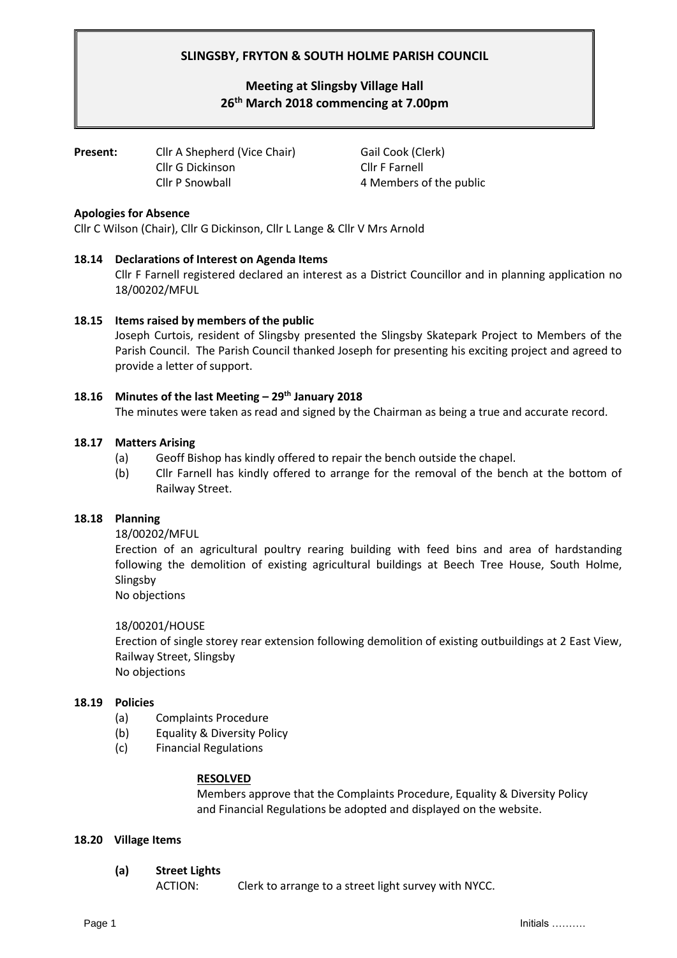# **SLINGSBY, FRYTON & SOUTH HOLME PARISH COUNCIL**

# **Meeting at Slingsby Village Hall 26th March 2018 commencing at 7.00pm**

**Present:** Cllr A Shepherd (Vice Chair) Gail Cook (Clerk) Cllr G Dickinson Cllr F Farnell Cllr P Snowball 4 Members of the public

### **Apologies for Absence**

Cllr C Wilson (Chair), Cllr G Dickinson, Cllr L Lange & Cllr V Mrs Arnold

# **18.14 Declarations of Interest on Agenda Items**

Cllr F Farnell registered declared an interest as a District Councillor and in planning application no 18/00202/MFUL

# **18.15 Items raised by members of the public**

Joseph Curtois, resident of Slingsby presented the Slingsby Skatepark Project to Members of the Parish Council. The Parish Council thanked Joseph for presenting his exciting project and agreed to provide a letter of support.

# **18.16 Minutes of the last Meeting – 29th January 2018**

The minutes were taken as read and signed by the Chairman as being a true and accurate record.

### **18.17 Matters Arising**

- (a) Geoff Bishop has kindly offered to repair the bench outside the chapel.
- (b) Cllr Farnell has kindly offered to arrange for the removal of the bench at the bottom of Railway Street.

### **18.18 Planning**

18/00202/MFUL

Erection of an agricultural poultry rearing building with feed bins and area of hardstanding following the demolition of existing agricultural buildings at Beech Tree House, South Holme, Slingsby

No objections

### 18/00201/HOUSE

Erection of single storey rear extension following demolition of existing outbuildings at 2 East View, Railway Street, Slingsby

No objections

# **18.19 Policies**

- (a) Complaints Procedure
- (b) Equality & Diversity Policy
- (c) Financial Regulations

### **RESOLVED**

Members approve that the Complaints Procedure, Equality & Diversity Policy and Financial Regulations be adopted and displayed on the website.

### **18.20 Village Items**

**(a) Street Lights**

ACTION: Clerk to arrange to a street light survey with NYCC.